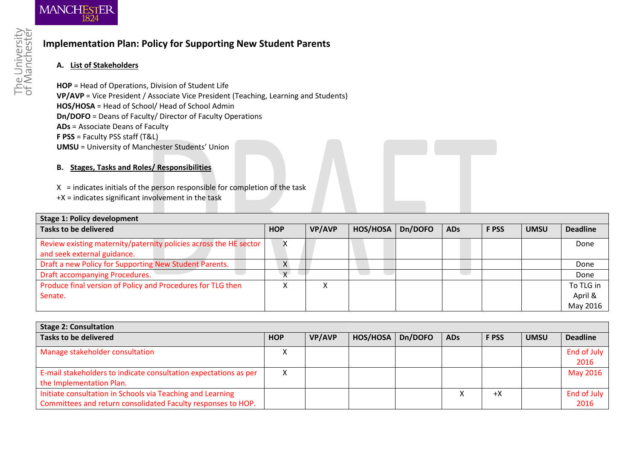

## **Implementation Plan: Policy for Supporting New Student Parents**

## **A. List of Stakeholders**

**HOP** = Head of Operations, Division of Student Life **VP/AVP** = Vice President / Associate Vice President (Teaching, Learning and Students) **HOS/HOSA** = Head of School/ Head of School Admin **Dn/DOFO** = Deans of Faculty/ Director of Faculty Operations **ADs** = Associate Deans of Faculty **F PSS** = Faculty PSS staff (T&L) **UMSU** = University of Manchester Students' Union

## **B. Stages, Tasks and Roles/ Responsibilities**

 $X =$  indicates initials of the person responsible for completion of the task

+X = indicates significant involvement in the task

| Stage 1: Policy development                                       |            |               |          |         |            |              |             |                 |
|-------------------------------------------------------------------|------------|---------------|----------|---------|------------|--------------|-------------|-----------------|
| Tasks to be delivered                                             | <b>HOP</b> | <b>VP/AVP</b> | HOS/HOSA | Dn/DOFO | <b>ADs</b> | <b>F PSS</b> | <b>UMSU</b> | <b>Deadline</b> |
| Review existing maternity/paternity policies across the HE sector | v          |               |          |         |            |              |             | Done            |
| and seek external guidance.                                       |            |               |          |         |            |              |             |                 |
| Draft a new Policy for Supporting New Student Parents.            | X.         |               |          |         |            |              |             | Done            |
| Draft accompanying Procedures.                                    | $\vee$     |               |          |         |            |              |             | Done            |
| Produce final version of Policy and Procedures for TLG then       |            |               |          |         |            |              |             | To TLG in       |
| Senate.                                                           |            |               |          |         |            |              |             | April &         |
|                                                                   |            |               |          |         |            |              |             | May 2016        |

| <b>Stage 2: Consultation</b>                                     |            |               |          |         |            |              |             |                 |
|------------------------------------------------------------------|------------|---------------|----------|---------|------------|--------------|-------------|-----------------|
| <b>Tasks to be delivered</b>                                     | <b>HOP</b> | <b>VP/AVP</b> | HOS/HOSA | Dn/DOFO | <b>ADs</b> | <b>F PSS</b> | <b>UMSU</b> | <b>Deadline</b> |
| Manage stakeholder consultation                                  | ∧          |               |          |         |            |              |             | End of July     |
|                                                                  |            |               |          |         |            |              |             | 2016            |
| E-mail stakeholders to indicate consultation expectations as per | X          |               |          |         |            |              |             | May 2016        |
| the Implementation Plan.                                         |            |               |          |         |            |              |             |                 |
| Initiate consultation in Schools via Teaching and Learning       |            |               |          |         |            | $+X$         |             | End of July     |
| Committees and return consolidated Faculty responses to HOP.     |            |               |          |         |            |              |             | 2016            |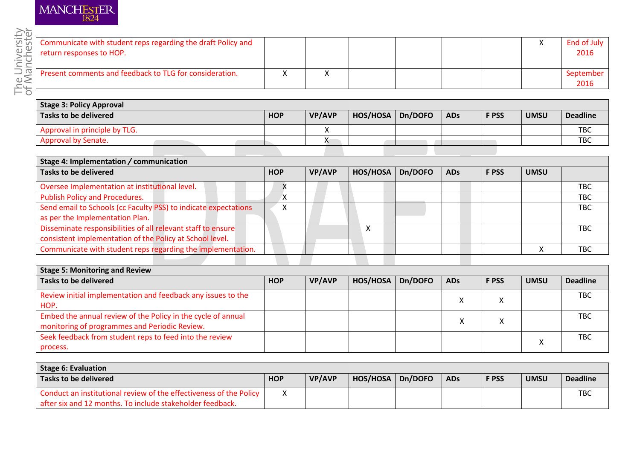

| <b>[ਯੁੱਯ   Communicate with student reps regarding the draft Policy and</b><br>End of July<br>–<br>v<br>return responses to HOP.<br>2016<br>$\circ$ =<br>Present comments and feedback to TLG for consideration.<br>eptember<br>2016 |  |  |  |  |  |
|--------------------------------------------------------------------------------------------------------------------------------------------------------------------------------------------------------------------------------------|--|--|--|--|--|
|                                                                                                                                                                                                                                      |  |  |  |  |  |
|                                                                                                                                                                                                                                      |  |  |  |  |  |
|                                                                                                                                                                                                                                      |  |  |  |  |  |

| <b>Stage 3: Policy Approval</b> |            |               |          |         |            |              |             |                 |
|---------------------------------|------------|---------------|----------|---------|------------|--------------|-------------|-----------------|
| Tasks to be delivered           | <b>HOP</b> | <b>VP/AVP</b> | HOS/HOSA | Dn/DOFO | <b>ADs</b> | <b>F PSS</b> | <b>UMSU</b> | <b>Deadline</b> |
| Approval in principle by TLG.   |            |               |          |         |            |              |             | <b>TBC</b>      |
| <b>Approval by Senate.</b>      |            |               |          |         |            |              |             | TBC             |
|                                 |            |               |          |         |            |              |             |                 |

| Stage 4: Implementation / communication                         |            |               |          |         |            |             |             |            |
|-----------------------------------------------------------------|------------|---------------|----------|---------|------------|-------------|-------------|------------|
| <b>Tasks to be delivered</b>                                    | <b>HOP</b> | <b>VP/AVP</b> | HOS/HOSA | Dn/DOFO | <b>ADs</b> | <b>FPSS</b> | <b>UMSU</b> |            |
| Oversee Implementation at institutional level.                  |            |               |          |         |            |             |             | <b>TBC</b> |
| <b>Publish Policy and Procedures.</b>                           |            |               |          |         |            |             |             | <b>TBC</b> |
| Send email to Schools (cc Faculty PSS) to indicate expectations | ⋏          |               |          |         |            |             |             | <b>TBC</b> |
| as per the Implementation Plan.                                 |            |               |          |         |            |             |             |            |
| Disseminate responsibilities of all relevant staff to ensure    |            |               |          |         |            |             |             | TBC        |
| consistent implementation of the Policy at School level.        |            |               |          |         |            |             |             |            |
| Communicate with student reps regarding the implementation.     |            |               |          |         |            |             |             | TBC        |

| <b>Stage 5: Monitoring and Review</b>                        |            |               |          |         |            |              |             |                 |
|--------------------------------------------------------------|------------|---------------|----------|---------|------------|--------------|-------------|-----------------|
| <b>Tasks to be delivered</b>                                 | <b>HOP</b> | <b>VP/AVP</b> | HOS/HOSA | Dn/DOFO | <b>ADs</b> | <b>F PSS</b> | <b>UMSU</b> | <b>Deadline</b> |
| Review initial implementation and feedback any issues to the |            |               |          |         |            |              |             | <b>TBC</b>      |
| HOP.                                                         |            |               |          |         |            |              |             |                 |
| Embed the annual review of the Policy in the cycle of annual |            |               |          |         |            |              |             | TBC             |
| monitoring of programmes and Periodic Review.                |            |               |          |         |            |              |             |                 |
| Seek feedback from student reps to feed into the review      |            |               |          |         |            |              | $\lambda$   | <b>TBC</b>      |
| process.                                                     |            |               |          |         |            |              | ∧           |                 |

| <b>Stage 6: Evaluation</b>                                         |             |               |          |         |            |              |             |                 |
|--------------------------------------------------------------------|-------------|---------------|----------|---------|------------|--------------|-------------|-----------------|
| Tasks to be delivered                                              | <b>HOP</b>  | <b>VP/AVP</b> | HOS/HOSA | Dn/DOFO | <b>ADs</b> | <b>F PSS</b> | <b>UMSU</b> | <b>Deadline</b> |
| Conduct an institutional review of the effectiveness of the Policy | $\mathbf v$ |               |          |         |            |              |             | <b>TBC</b>      |
| after six and 12 months. To include stakeholder feedback.          |             |               |          |         |            |              |             |                 |